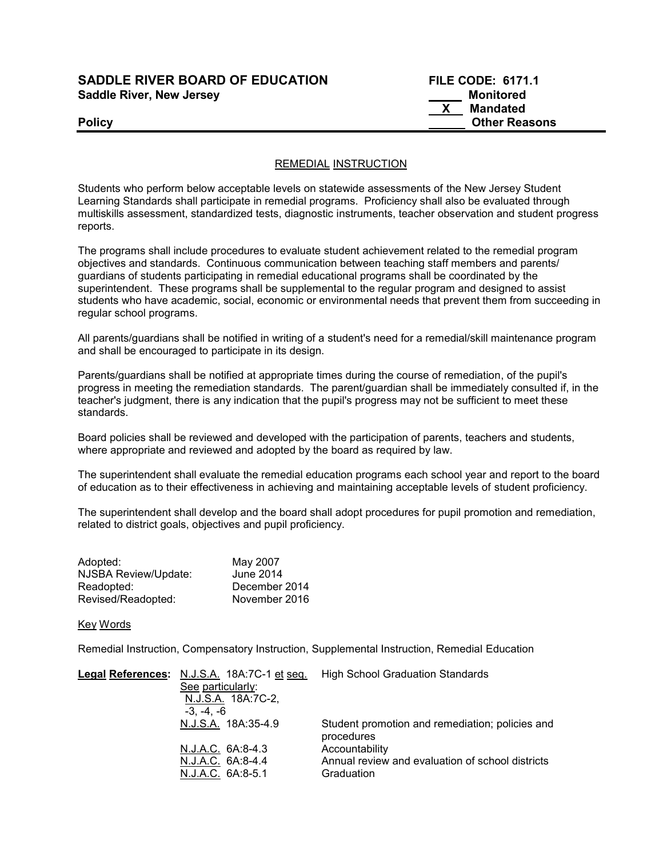## SADDLE RIVER BOARD OF EDUCATION Saddle River, New Jersey

| <b>SADDLE RIVER BOARD OF EDUCATION</b> | <b>FILE CODE: 6171.1</b> |
|----------------------------------------|--------------------------|
| <b>Saddle River, New Jersey</b>        | Monitored                |
|                                        | Mandated                 |
| Policy                                 | <b>Other Reasons</b>     |

### REMEDIAL INSTRUCTION

Students who perform below acceptable levels on statewide assessments of the New Jersey Student Learning Standards shall participate in remedial programs. Proficiency shall also be evaluated through multiskills assessment, standardized tests, diagnostic instruments, teacher observation and student progress reports.

The programs shall include procedures to evaluate student achievement related to the remedial program objectives and standards. Continuous communication between teaching staff members and parents/ guardians of students participating in remedial educational programs shall be coordinated by the superintendent. These programs shall be supplemental to the regular program and designed to assist students who have academic, social, economic or environmental needs that prevent them from succeeding in regular school programs.

All parents/guardians shall be notified in writing of a student's need for a remedial/skill maintenance program and shall be encouraged to participate in its design.

Parents/guardians shall be notified at appropriate times during the course of remediation, of the pupil's progress in meeting the remediation standards. The parent/guardian shall be immediately consulted if, in the teacher's judgment, there is any indication that the pupil's progress may not be sufficient to meet these standards.

Board policies shall be reviewed and developed with the participation of parents, teachers and students, where appropriate and reviewed and adopted by the board as required by law.

The superintendent shall evaluate the remedial education programs each school year and report to the board of education as to their effectiveness in achieving and maintaining acceptable levels of student proficiency.

The superintendent shall develop and the board shall adopt procedures for pupil promotion and remediation, related to district goals, objectives and pupil proficiency.

| Adopted:             | May 2007      |
|----------------------|---------------|
| NJSBA Review/Update: | June 2014     |
| Readopted:           | December 2014 |
| Revised/Readopted:   | November 2016 |

### Key Words

Remedial Instruction, Compensatory Instruction, Supplemental Instruction, Remedial Education

| Legal References: N.J.S.A. 18A:7C-1 et seq. | <b>High School Graduation Standards</b>                       |
|---------------------------------------------|---------------------------------------------------------------|
| See particularly:                           |                                                               |
| N.J.S.A. 18A:7C-2,                          |                                                               |
| -3. -4. -6                                  |                                                               |
| N.J.S.A. 18A:35-4.9                         | Student promotion and remediation; policies and<br>procedures |
| N.J.A.C. 6A:8-4.3                           | Accountability                                                |
| N.J.A.C. 6A:8-4.4                           | Annual review and evaluation of school districts              |
| N.J.A.C. 6A:8-5.1                           | Graduation                                                    |
|                                             |                                                               |